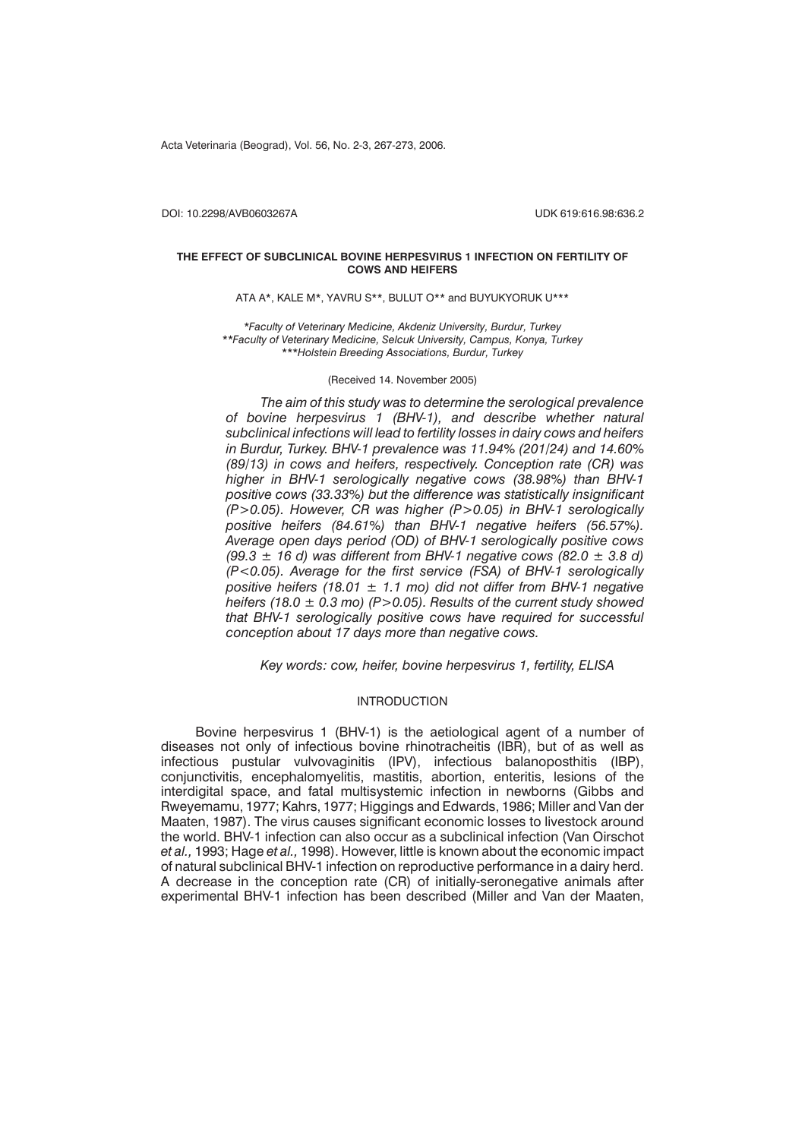Acta Veterinaria (Beograd), Vol. 56, No. 2-3, 267-273, 2006.

DOI: 10.2298/AVB0603267A UDK 619:616.98:636.2

## **THE EFFECT OF SUBCLINICAL BOVINE HERPESVIRUS 1 INFECTION ON FERTILITY OF COWS AND HEIFERS**

ATA A\*, KALE M\*, YAVRU S\*\*, BULUT O\*\* and BUYUKYORUK U\*\*\*

*\*Faculty of Veterinary Medicine, Akdeniz University, Burdur, Turkey \*\*Faculty of Veterinary Medicine, Selcuk University, Campus, Konya, Turkey \*\*\*Holstein Breeding Associations, Burdur, Turkey*

## (Received 14. November 2005)

*The aim of this study was to determine the serological prevalence of bovine herpesvirus 1 (BHV-1), and describe whether natural subclinical infections will lead to fertility losses in dairy cows and heifers in Burdur, Turkey. BHV-1 prevalence was 11.94% (201/24) and 14.60% (89/13) in cows and heifers, respectively. Conception rate (CR) was higher in BHV-1 serologically negative cows (38.98%) than BHV-1 positive cows (33.33%) but the difference was statistically insignificant (P>0.05). However, CR was higher (P>0.05) in BHV-1 serologically positive heifers (84.61%) than BHV-1 negative heifers (56.57%). Average open days period (OD) of BHV-1 serologically positive cows (99.3 ± 16 d) was different from BHV-1 negative cows (82.0 ± 3.8 d) (P<0.05). Average for the first service (FSA) of BHV-1 serologically positive heifers (18.01 ± 1.1 mo) did not differ from BHV-1 negative heifers (18.0 ± 0.3 mo) (P>0.05). Results of the current study showed that BHV-1 serologically positive cows have required for successful conception about 17 days more than negative cows.*

*Key words: cow, heifer, bovine herpesvirus 1, fertility, ELISA*

## INTRODUCTION

Bovine herpesvirus 1 (BHV-1) is the aetiological agent of a number of diseases not only of infectious bovine rhinotracheitis (IBR), but of as well as infectious pustular vulvovaginitis (IPV), infectious balanoposthitis (IBP), conjunctivitis, encephalomyelitis, mastitis, abortion, enteritis, lesions of the interdigital space, and fatal multisystemic infection in newborns (Gibbs and Rweyemamu, 1977; Kahrs, 1977; Higgings and Edwards, 1986; Miller and Van der Maaten, 1987). The virus causes significant economic losses to livestock around the world. BHV-1 infection can also occur as a subclinical infection (Van Oirschot *et al.,* 1993; Hage *et al.,* 1998). However, little is known about the economic impact of natural subclinical BHV-1 infection on reproductive performance in a dairy herd. A decrease in the conception rate (CR) of initially-seronegative animals after experimental BHV-1 infection has been described (Miller and Van der Maaten,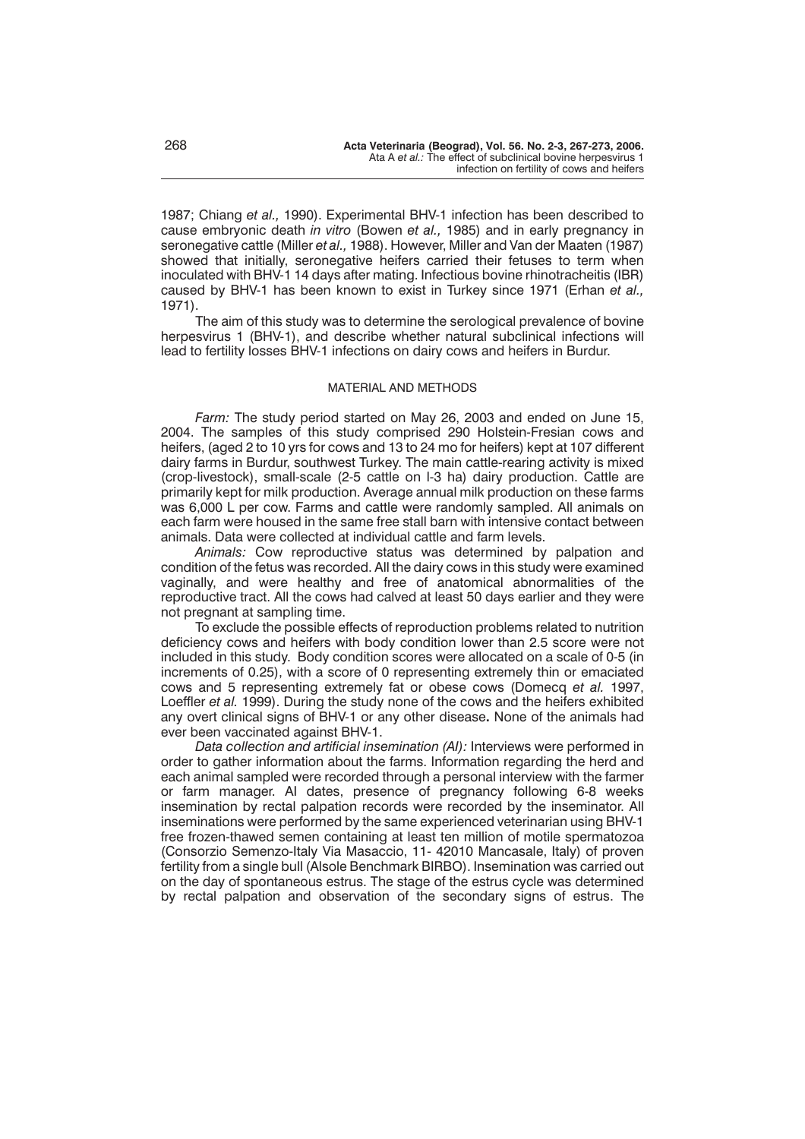1987; Chiang *et al.,* 1990). Experimental BHV-1 infection has been described to cause embryonic death *in vitro* (Bowen *et al.,* 1985) and in early pregnancy in seronegative cattle (Miller *et al.,* 1988). However, Miller and Van der Maaten (1987) showed that initially, seronegative heifers carried their fetuses to term when inoculated with BHV-1 14 days after mating. Infectious bovine rhinotracheitis (IBR) caused by BHV-1 has been known to exist in Turkey since 1971 (Erhan *et al.,* 1971).

The aim of this study was to determine the serological prevalence of bovine herpesvirus 1 (BHV-1), and describe whether natural subclinical infections will lead to fertility losses BHV-1 infections on dairy cows and heifers in Burdur.

## MATERIAL AND METHODS

*Farm:* The study period started on May 26, 2003 and ended on June 15, 2004. The samples of this study comprised 290 Holstein-Fresian cows and heifers, (aged 2 to 10 yrs for cows and 13 to 24 mo for heifers) kept at 107 different dairy farms in Burdur, southwest Turkey. The main cattle-rearing activity is mixed (crop-livestock), small-scale (2-5 cattle on l-3 ha) dairy production. Cattle are primarily kept for milk production. Average annual milk production on these farms was 6,000 L per cow. Farms and cattle were randomly sampled. All animals on each farm were housed in the same free stall barn with intensive contact between animals. Data were collected at individual cattle and farm levels.

*Animals:* Cow reproductive status was determined by palpation and condition of the fetus was recorded. All the dairy cows in this study were examined vaginally, and were healthy and free of anatomical abnormalities of the reproductive tract. All the cows had calved at least 50 days earlier and they were not pregnant at sampling time.

To exclude the possible effects of reproduction problems related to nutrition deficiency cows and heifers with body condition lower than 2.5 score were not included in this study. Body condition scores were allocated on a scale of 0-5 (in increments of 0.25), with a score of 0 representing extremely thin or emaciated cows and 5 representing extremely fat or obese cows (Domecq *et al.* 1997, Loeffler *et al.* 1999). During the study none of the cows and the heifers exhibited any overt clinical signs of BHV-1 or any other disease**.** None of the animals had ever been vaccinated against BHV-1.

*Data collection and artificial insemination (AI):* Interviews were performed in order to gather information about the farms. Information regarding the herd and each animal sampled were recorded through a personal interview with the farmer or farm manager. AI dates, presence of pregnancy following 6-8 weeks insemination by rectal palpation records were recorded by the inseminator. All inseminations were performed by the same experienced veterinarian using BHV-1 free frozen-thawed semen containing at least ten million of motile spermatozoa (Consorzio Semenzo-Italy Via Masaccio, 11- 42010 Mancasale, Italy) of proven fertility from a single bull (Alsole Benchmark BIRBO). Insemination was carried out on the day of spontaneous estrus. The stage of the estrus cycle was determined by rectal palpation and observation of the secondary signs of estrus. The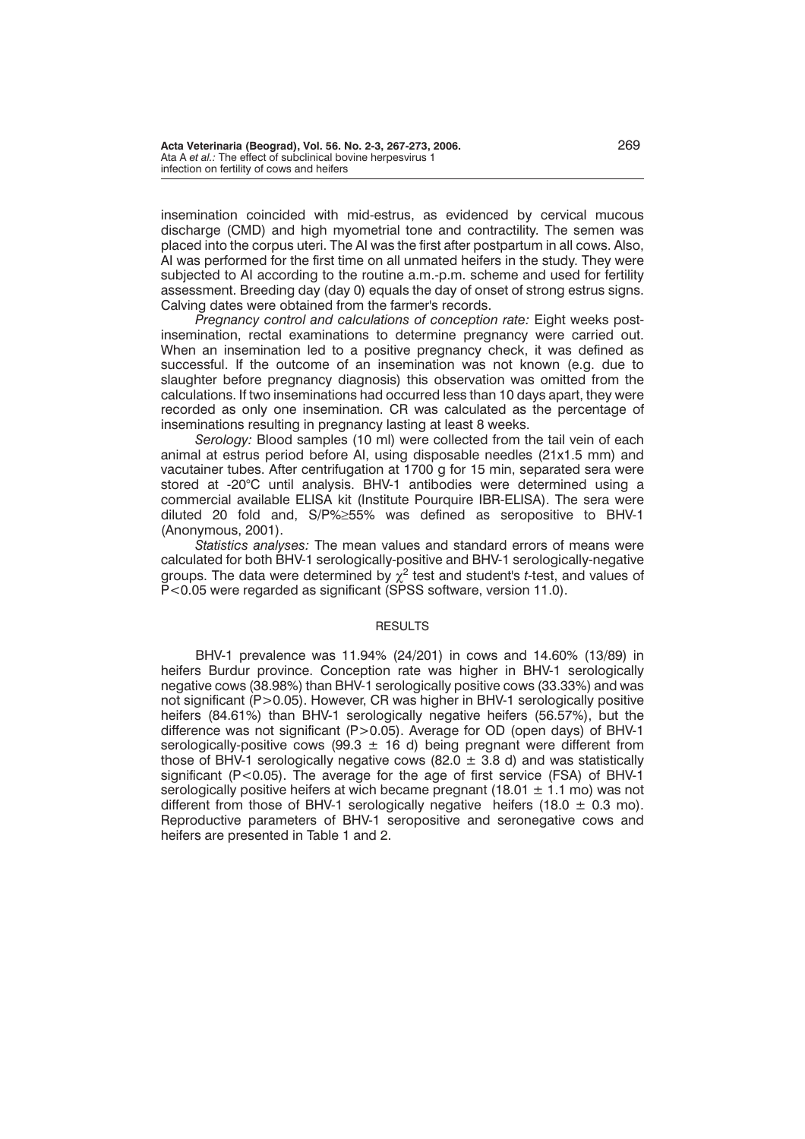insemination coincided with mid-estrus, as evidenced by cervical mucous discharge (CMD) and high myometrial tone and contractility. The semen was placed into the corpus uteri. The AI was the first after postpartum in all cows. Also, AI was performed for the first time on all unmated heifers in the study. They were subjected to AI according to the routine a.m.-p.m. scheme and used for fertility assessment. Breeding day (day 0) equals the day of onset of strong estrus signs. Calving dates were obtained from the farmer's records.

*Pregnancy control and calculations of conception rate:* Eight weeks postinsemination, rectal examinations to determine pregnancy were carried out. When an insemination led to a positive pregnancy check, it was defined as successful. If the outcome of an insemination was not known (e.g. due to slaughter before pregnancy diagnosis) this observation was omitted from the calculations. If two inseminations had occurred less than 10 days apart, they were recorded as only one insemination. CR was calculated as the percentage of inseminations resulting in pregnancy lasting at least 8 weeks.

*Serology:* Blood samples (10 ml) were collected from the tail vein of each animal at estrus period before AI, using disposable needles (21x1.5 mm) and vacutainer tubes. After centrifugation at 1700 g for 15 min, separated sera were stored at -20°C until analysis. BHV-1 antibodies were determined using a commercial available ELISA kit (Institute Pourquire IBR-ELISA). The sera were diluted 20 fold and,  $S/P\% \geq 55\%$  was defined as seropositive to BHV-1 (Anonymous, 2001).

*Statistics analyses:* The mean values and standard errors of means were calculated for both BHV-1 serologically-positive and BHV-1 serologically-negative groups. The data were determined by  $\chi^2$  test and student's *t*-test, and values of P<0.05 were regarded as significant (SPSS software, version 11.0).

## RESULTS

BHV-1 prevalence was 11.94% (24/201) in cows and 14.60% (13/89) in heifers Burdur province. Conception rate was higher in BHV-1 serologically negative cows (38.98%) than BHV-1 serologically positive cows (33.33%) and was not significant (P>0.05). However, CR was higher in BHV-1 serologically positive heifers (84.61%) than BHV-1 serologically negative heifers (56.57%), but the difference was not significant (P>0.05). Average for OD (open days) of BHV-1 serologically-positive cows (99.3  $\pm$  16 d) being pregnant were different from those of BHV-1 serologically negative cows (82.0  $\pm$  3.8 d) and was statistically significant (P<0.05). The average for the age of first service (FSA) of BHV-1 serologically positive heifers at wich became pregnant (18.01  $\pm$  1.1 mo) was not different from those of BHV-1 serologically negative heifers (18.0  $\pm$  0.3 mo). Reproductive parameters of BHV-1 seropositive and seronegative cows and heifers are presented in Table 1 and 2.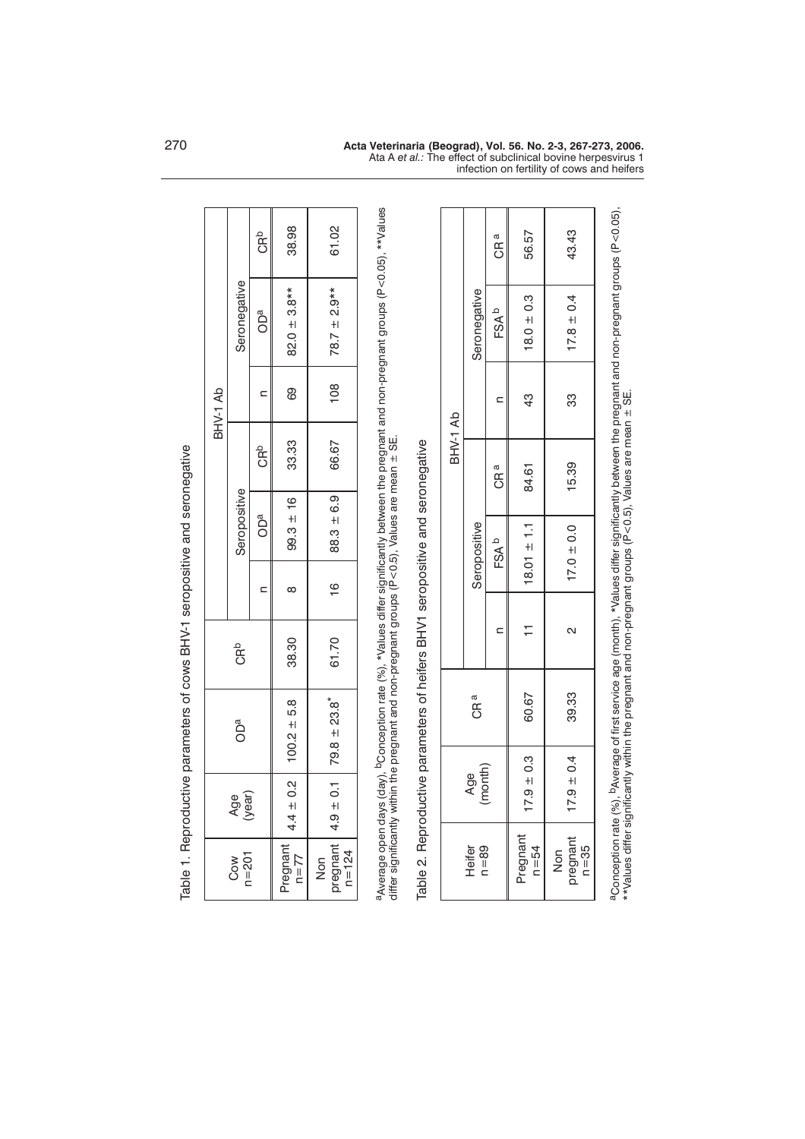|  | BHV-1 Ab        |                  | CRb             | 38.98                | 61.02                                      |
|--|-----------------|------------------|-----------------|----------------------|--------------------------------------------|
|  |                 | Seronegative     | OD <sup>a</sup> | $82.0 \pm 3.8**$     | $78.7 \pm 2.9**$                           |
|  |                 |                  |                 | 89                   | $\frac{8}{100}$                            |
|  |                 | Seropositive     | CR <sup>b</sup> | 33.33                | 66.67                                      |
|  |                 |                  | OD <sup>a</sup> | $99.3 \pm 16$        | $88.3 \pm 6.9$                             |
|  |                 |                  |                 | $\infty$             | $\frac{6}{1}$                              |
|  | <b>GR</b> b     |                  |                 | 38.30                | 61.70                                      |
|  | OD <sup>a</sup> |                  |                 | $100.2 \pm 5.8$      | pregnant   $4.9 \pm 0.1$   $79.8 \pm 23.8$ |
|  | Age<br>year)    |                  |                 | $4.4 \pm 0.2$        |                                            |
|  |                 | $n = 201$<br>Cow |                 | Pregnant<br>$n = 77$ | $n = 124$<br>Non                           |

Table 1. Reproductive parameters of cows BHV-1 seropositive and seronegative Table 1. Reproductive parameters of cows BHV-1 seropositive and seronegative a<sub>Average open days (day),</sub> bConception rate (%), \*Values differ significantly between the pregnant and non-pregnant groups (P<0.05), \*\*Values<br>differ significantly within the pregnant and non-pregnant groups (P<0.5), Valu aAverage open days (day), bConception rate (%), \*Values differ significantly between the pregnant and non-pregnant groups (P<0.05), \*\*Values differ significantly within the pregnant and non-pregnant groups (P<0.5), Values are mean ± SE.

Table 2. Reproductive parameters of heifers BHV1 seropositive and seronegative Table 2. Reproductive parameters of heifers BHV1 seropositive and seronegative

| Seronegative |                 |                                        |                         |                      |
|--------------|-----------------|----------------------------------------|-------------------------|----------------------|
|              | FSAb            | $18.0 \pm 0.3$                         | $17.8 \pm 0.4$          |                      |
|              |                 | 43                                     | 33                      |                      |
| Seropositive | CR <sup>a</sup> | 84.61                                  | 15.39                   |                      |
|              | FSA b           | $18.01 \pm 1.1$                        | $17.0 \pm 0.0$          | j<br>i               |
|              |                 | Ξ                                      | N                       | .<br>.<br>.<br>.     |
| CR a         |                 | 60.67                                  | 39.33                   | $\ddot{\phantom{a}}$ |
| Age          |                 | $9 + 0.3$                              | $17.9 \pm 0.4$          | .<br>ک               |
| Heifer       |                 | <sup>p</sup> regnant<br>$n = 54$       | Non<br>pregnant<br>n=35 |                      |
|              |                 | CR <sup>a</sup><br>(month)<br>$n = 89$ | 56.57                   | 43.43                |

Ata A *et al.:* The effect of subclinical bovine herpesvirus 1

infection on fertility of cows and heifers

aConception rate (%), <sup>p</sup>Average of first service age (month), \*Values differ significantly between the pregnant and non-pregnant groups (P<0.05),<br>\*\*Values differ significantly within the pregnant and non-pregnant groups aConception rate (%), bAverage of first service age (month), \*Values differ significantly between the pregnant and non-pregnant groups (P<0.05), \*\*Values differ significantly within the pregnant and non-pregnant groups (P<0.5), Values are mean ± SE.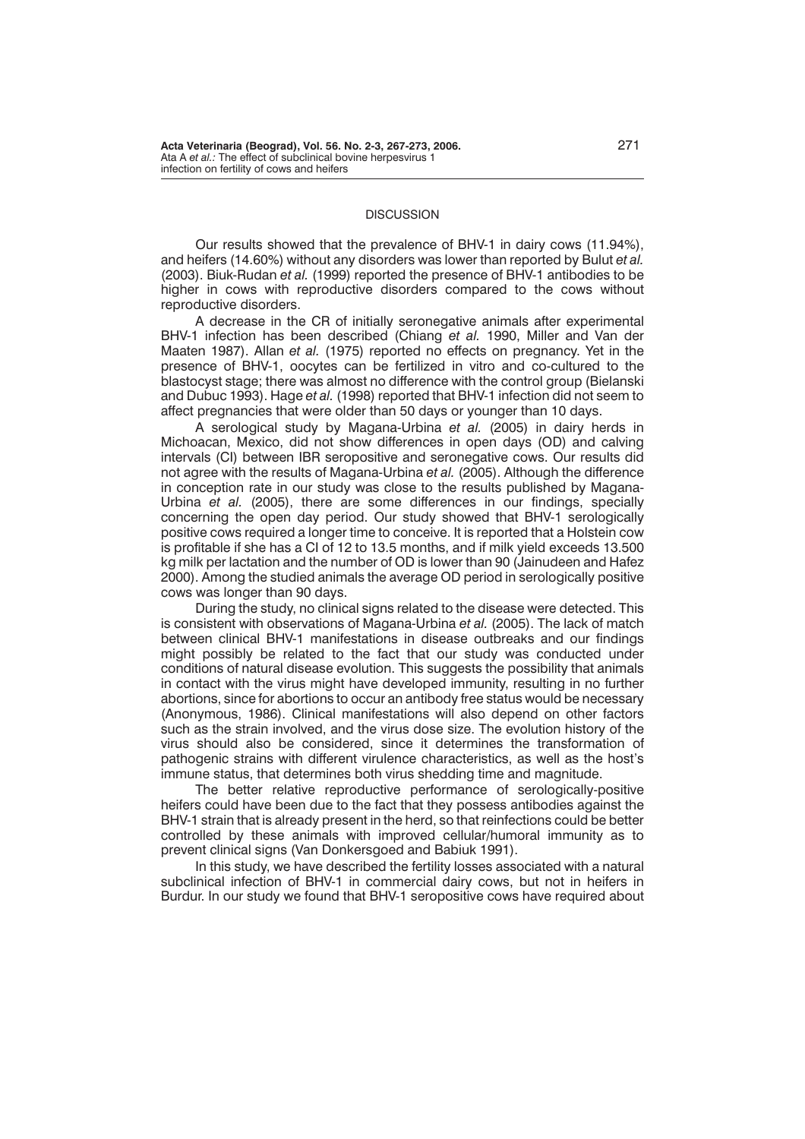## **DISCUSSION**

Our results showed that the prevalence of BHV-1 in dairy cows (11.94%), and heifers (14.60%) without any disorders was lower than reported by Bulut *et al.* (2003). Biuk-Rudan *et al.* (1999) reported the presence of BHV-1 antibodies to be higher in cows with reproductive disorders compared to the cows without reproductive disorders.

A decrease in the CR of initially seronegative animals after experimental BHV-1 infection has been described (Chiang *et al.* 1990, Miller and Van der Maaten 1987). Allan *et al.* (1975) reported no effects on pregnancy. Yet in the presence of BHV-1, oocytes can be fertilized in vitro and co-cultured to the blastocyst stage; there was almost no difference with the control group (Bielanski and Dubuc 1993). Hage *et al.* (1998) reported that BHV-1 infection did not seem to affect pregnancies that were older than 50 days or younger than 10 days.

A serological study by Magana-Urbina *et al.* (2005) in dairy herds in Michoacan, Mexico, did not show differences in open days (OD) and calving intervals (CI) between IBR seropositive and seronegative cows. Our results did not agree with the results of Magana-Urbina *et al.* (2005). Although the difference in conception rate in our study was close to the results published by Magana-Urbina *et al.* (2005), there are some differences in our findings, specially concerning the open day period. Our study showed that BHV-1 serologically positive cows required a longer time to conceive. It is reported that a Holstein cow is profitable if she has a CI of 12 to 13.5 months, and if milk yield exceeds 13.500 kg milk per lactation and the number of OD is lower than 90 (Jainudeen and Hafez 2000). Among the studied animals the average OD period in serologically positive cows was longer than 90 days.

During the study, no clinical signs related to the disease were detected. This is consistent with observations of Magana-Urbina *et al.* (2005). The lack of match between clinical BHV-1 manifestations in disease outbreaks and our findings might possibly be related to the fact that our study was conducted under conditions of natural disease evolution. This suggests the possibility that animals in contact with the virus might have developed immunity, resulting in no further abortions, since for abortions to occur an antibody free status would be necessary (Anonymous, 1986). Clinical manifestations will also depend on other factors such as the strain involved, and the virus dose size. The evolution history of the virus should also be considered, since it determines the transformation of pathogenic strains with different virulence characteristics, as well as the host's immune status, that determines both virus shedding time and magnitude.

The better relative reproductive performance of serologically-positive heifers could have been due to the fact that they possess antibodies against the BHV-1 strain that is already present in the herd, so that reinfections could be better controlled by these animals with improved cellular/humoral immunity as to prevent clinical signs (Van Donkersgoed and Babiuk 1991).

In this study, we have described the fertility losses associated with a natural subclinical infection of BHV-1 in commercial dairy cows, but not in heifers in Burdur. In our study we found that BHV-1 seropositive cows have required about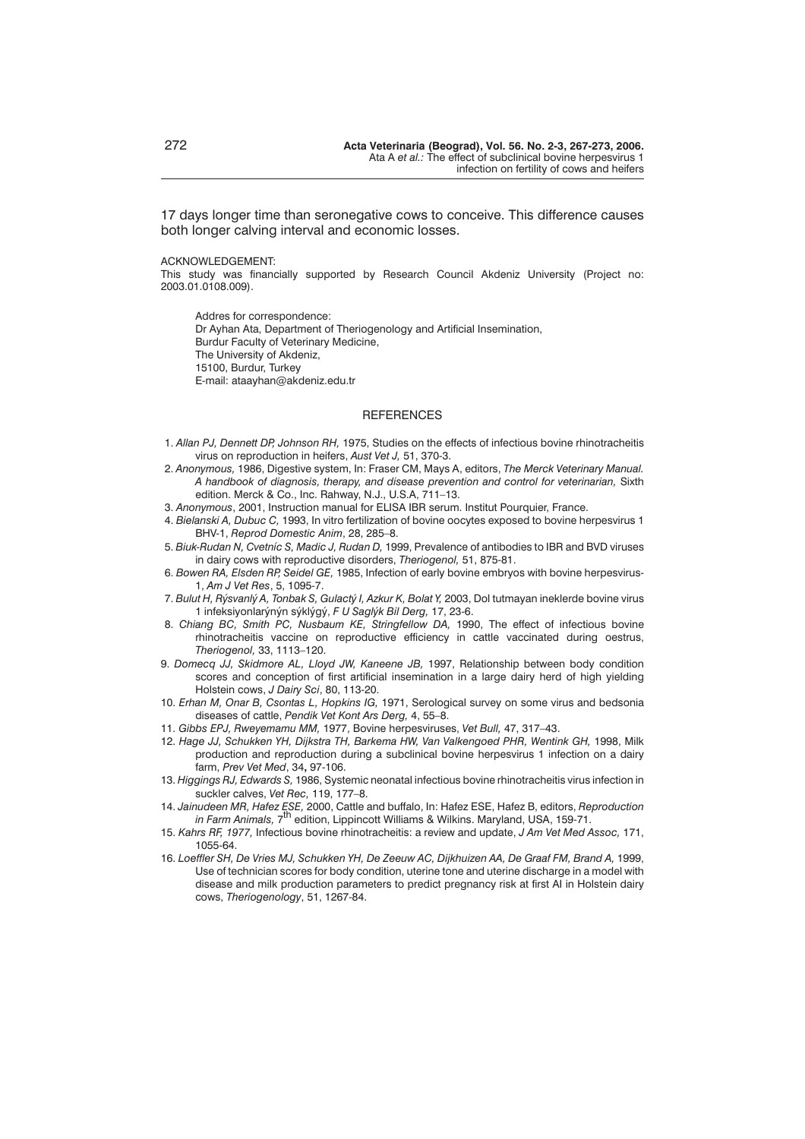17 days longer time than seronegative cows to conceive. This difference causes both longer calving interval and economic losses.

#### ACKNOWLEDGEMENT:

This study was financially supported by Research Council Akdeniz University (Project no: 2003.01.0108.009).

Addres for correspondence: Dr Ayhan Ata, Department of Theriogenology and Artificial Insemination, Burdur Faculty of Veterinary Medicine, The University of Akdeniz, 15100, Burdur, Turkey E-mail: ataayhan@akdeniz.edu.tr

## **REFERENCES**

- 1. *Allan PJ, Dennett DP, Johnson RH,* 1975, Studies on the effects of infectious bovine rhinotracheitis virus on reproduction in heifers, *Aust Vet J,* 51, 370-3.
- 2. *Anonymous,* 1986, Digestive system, In: Fraser CM, Mays A, editors, *The Merck Veterinary Manual. A handbook of diagnosis, therapy, and disease prevention and control for veterinarian,* Sixth edition. Merck & Co., Inc. Rahway, N.J., U.S.A, 711–13.
- 3. *Anonymous*, 2001, Instruction manual for ELISA IBR serum. Institut Pourquier, France.
- 4. *Bielanski A, Dubuc C,* 1993, In vitro fertilization of bovine oocytes exposed to bovine herpesvirus 1 BHV-1, *Reprod Domestic Anim*, 28, 285–8.
- 5. *Biuk-Rudan N, Cvetníc S, Madic J, Rudan D,* 1999, Prevalence of antibodies to IBR and BVD viruses in dairy cows with reproductive disorders, *Theriogenol,* 51, 875-81.
- 6. *Bowen RA, Elsden RP, Seidel GE,* 1985, Infection of early bovine embryos with bovine herpesvirus-1, *Am J Vet Res*, 5, 1095-7.
- 7. *Bulut H, Rýsvanlý A, Tonbak S, Gulactý I, Azkur K, Bolat Y,* 2003, Dol tutmayan ineklerde bovine virus 1 infeksiyonlarýnýn sýklýgý, *F U Saglýk Bil Derg,* 17, 23-6.
- 8. *Chiang BC, Smith PC, Nusbaum KE, Stringfellow DA,* 1990, The effect of infectious bovine rhinotracheitis vaccine on reproductive efficiency in cattle vaccinated during oestrus, *Theriogenol,* 33, 1113–120.
- 9. *Domecq JJ, Skidmore AL, Lloyd JW, Kaneene JB,* 1997, Relationship between body condition scores and conception of first artificial insemination in a large dairy herd of high yielding Holstein cows, *J Dairy Sci*, 80, 113-20.
- 10. *Erhan M, Onar B, Csontas L, Hopkins IG,* 1971, Serological survey on some virus and bedsonia diseases of cattle, *Pendik Vet Kont Ars Derg,* 4, 55–8.
- 11. *Gibbs EPJ, Rweyemamu MM,* 1977, Bovine herpesviruses, *Vet Bull,* 47, 317–43.
- 12. *Hage JJ, Schukken YH, Dijkstra TH, Barkema HW, Van Valkengoed PHR, Wentink GH,* 1998, Milk production and reproduction during a subclinical bovine herpesvirus 1 infection on a dairy farm, *Prev Vet Med*, 34**,** 97-106.
- 13. *Higgings RJ, Edwards S,* 1986, Systemic neonatal infectious bovine rhinotracheitis virus infection in suckler calves, *Vet Rec,* 119, 177–8.
- 14. *Jainudeen MR, Hafez ESE,* 2000, Cattle and buffalo, In: Hafez ESE, Hafez B, editors, *Reproduction in Farm Animals,* 7<sup>th</sup> edition, Lippincott Williams & Wilkins. Maryland, USA, 159-71.
- 15. *Kahrs RF, 1977,* Infectious bovine rhinotracheitis: a review and update, *J Am Vet Med Assoc,* 171, 1055-64.
- 16. *Loeffler SH, De Vries MJ, Schukken YH, De Zeeuw AC, Dijkhuizen AA, De Graaf FM, Brand A,* 1999, Use of technician scores for body condition, uterine tone and uterine discharge in a model with disease and milk production parameters to predict pregnancy risk at first AI in Holstein dairy cows, *Theriogenology*, 51, 1267-84.